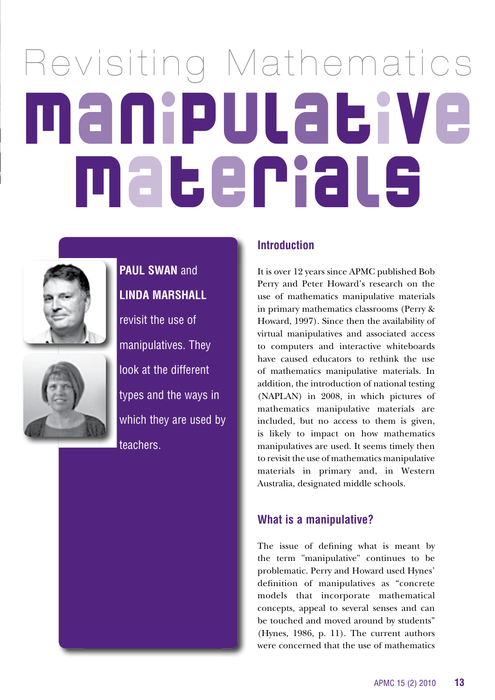# Revisiting Mathematics Manipulative Materials





**PAUL SWAN** and **lINDA MARSHAll** revisit the use of manipulatives. They look at the different types and the ways in which they are used by teachers.

#### **Introduction**

It is over 12 years since APMC published Bob Perry and Peter Howard's research on the use of mathematics manipulative materials in primary mathematics classrooms (Perry & Howard, 1997). Since then the availability of virtual manipulatives and associated access to computers and interactive whiteboards have caused educators to rethink the use of mathematics manipulative materials. In addition, the introduction of national testing (NAPLAN) in 2008, in which pictures of mathematics manipulative materials are included, but no access to them is given, is likely to impact on how mathematics manipulatives are used. It seems timely then to revisit the use of mathematics manipulative materials in primary and, in Western Australia, designated middle schools.

#### **What is a manipulative?**

The issue of defining what is meant by the term "manipulative" continues to be problematic. Perry and Howard used Hynes' definition of manipulatives as "concrete models that incorporate mathematical concepts, appeal to several senses and can be touched and moved around by students" (Hynes, 1986, p. 11). The current authors were concerned that the use of mathematics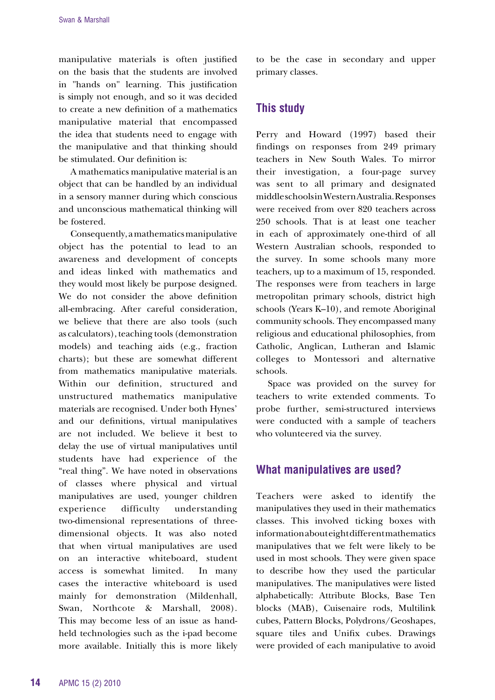manipulative materials is often justified on the basis that the students are involved in "hands on" learning. This justification is simply not enough, and so it was decided to create a new definition of a mathematics manipulative material that encompassed the idea that students need to engage with the manipulative and that thinking should be stimulated. Our definition is:

A mathematics manipulative material is an object that can be handled by an individual in a sensory manner during which conscious and unconscious mathematical thinking will be fostered.

Consequently, a mathematics manipulative object has the potential to lead to an awareness and development of concepts and ideas linked with mathematics and they would most likely be purpose designed. We do not consider the above definition all-embracing. After careful consideration, we believe that there are also tools (such as calculators), teaching tools (demonstration models) and teaching aids (e.g., fraction charts); but these are somewhat different from mathematics manipulative materials. Within our definition, structured and unstructured mathematics manipulative materials are recognised. Under both Hynes' and our definitions, virtual manipulatives are not included. We believe it best to delay the use of virtual manipulatives until students have had experience of the "real thing". We have noted in observations of classes where physical and virtual manipulatives are used, younger children experience difficulty understanding two-dimensional representations of threedimensional objects. It was also noted that when virtual manipulatives are used on an interactive whiteboard, student access is somewhat limited. In many cases the interactive whiteboard is used mainly for demonstration (Mildenhall, Swan, Northcote & Marshall, 2008). This may become less of an issue as handheld technologies such as the i-pad become more available. Initially this is more likely to be the case in secondary and upper primary classes.

#### **This study**

Perry and Howard (1997) based their findings on responses from 249 primary teachers in New South Wales. To mirror their investigation, a four-page survey was sent to all primary and designated middle schools in Western Australia. Responses were received from over 820 teachers across 250 schools. That is at least one teacher in each of approximately one-third of all Western Australian schools, responded to the survey. In some schools many more teachers, up to a maximum of 15, responded. The responses were from teachers in large metropolitan primary schools, district high schools (Years K–10), and remote Aboriginal community schools. They encompassed many religious and educational philosophies, from Catholic, Anglican, Lutheran and Islamic colleges to Montessori and alternative schools.

Space was provided on the survey for teachers to write extended comments. To probe further, semi-structured interviews were conducted with a sample of teachers who volunteered via the survey.

## **What manipulatives are used?**

Teachers were asked to identify the manipulatives they used in their mathematics classes. This involved ticking boxes with information about eight different mathematics manipulatives that we felt were likely to be used in most schools. They were given space to describe how they used the particular manipulatives. The manipulatives were listed alphabetically: Attribute Blocks, Base Ten blocks (MAB), Cuisenaire rods, Multilink cubes, Pattern Blocks, Polydrons/Geoshapes, square tiles and Unifix cubes. Drawings were provided of each manipulative to avoid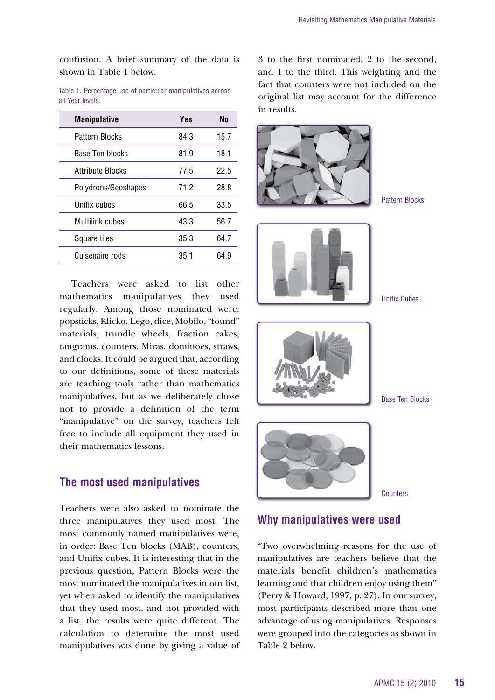confusion. A brief summary of the data is shown in Table 1 below.

Table 1. Percentage use of particular manipulatives across all Year levels.

| <b>Manipulative</b>     | Yes  | No   |
|-------------------------|------|------|
| Pattern Blocks          | 84.3 | 15.7 |
| Base Ten blocks         | 81.9 | 18.1 |
| <b>Attribute Blocks</b> | 77.5 | 22.5 |
| Polydrons/Geoshapes     | 71.2 | 28.8 |
| Unifix cubes            | 66.5 | 33.5 |
| <b>Multilink cubes</b>  | 43.3 | 56.7 |
| Square tiles            | 35.3 | 64.7 |
| Cuisenaire rods         | 35.1 | 64.9 |

Teachers were asked to list other mathematics manipulatives they used regularly. Among those nominated were: popsticks, Klicko, Lego, dice, Mobilo, "found" materials, trundle wheels, fraction cakes, tangrams, counters, Miras, dominoes, straws, and clocks. It could be argued that, according to our definitions, some of these materials are teaching tools rather than mathematics manipulatives, but as we deliberately chose not to provide a definition of the term "manipulative" on the survey, teachers felt free to include all equipment they used in their mathematics lessons.

#### **The most used manipulatives**

Teachers were also asked to nominate the three manipulatives they used most. The most commonly named manipulatives were, in order: Base Ten blocks (MAB), counters, and Unifix cubes. It is interesting that in the previous question, Pattern Blocks were the most nominated the manipulatives in our list, yet when asked to identify the manipulatives that they used most, and not provided with a list, the results were quite different. The calculation to determine the most used manipulatives was done by giving a value of 3 to the first nominated, 2 to the second, and 1 to the third. This weighting and the fact that counters were not included on the original list may account for the difference in results.



## **Why manipulatives were used**

"Two overwhelming reasons for the use of manipulatives are teachers believe that the materials benefit children's mathematics learning and that children enjoy using them" (Perry & Howard, 1997, p. 27). In our survey, most participants described more than one advantage of using manipulatives. Responses were grouped into the categories as shown in Table 2 below.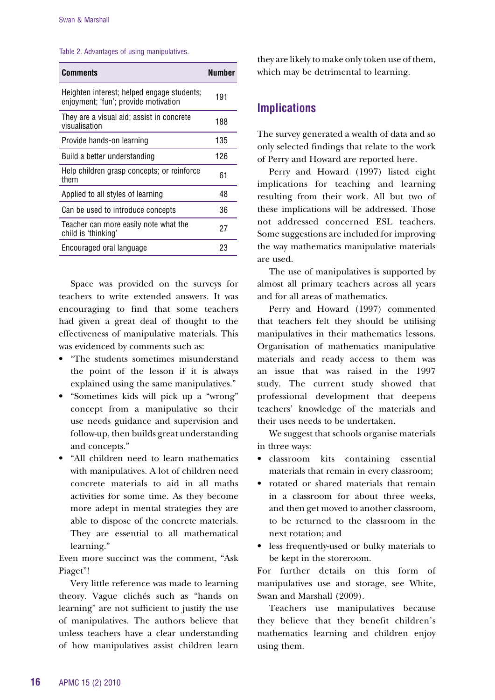#### Table 2. Advantages of using manipulatives.

| <b>Comments</b>                                                                    | Number |
|------------------------------------------------------------------------------------|--------|
| Heighten interest; helped engage students;<br>enjoyment; 'fun'; provide motivation | 191    |
| They are a visual aid; assist in concrete<br>visualisation                         | 188    |
| Provide hands-on learning                                                          | 135    |
| Build a better understanding                                                       | 126    |
| Help children grasp concepts; or reinforce<br>them                                 | 61     |
| Applied to all styles of learning                                                  | 48     |
| Can be used to introduce concepts                                                  | 36     |
| Teacher can more easily note what the<br>child is 'thinking'                       | 27     |
| Encouraged oral language                                                           | 23     |

Space was provided on the surveys for teachers to write extended answers. It was encouraging to find that some teachers had given a great deal of thought to the effectiveness of manipulative materials. This was evidenced by comments such as:

- • "The students sometimes misunderstand the point of the lesson if it is always explained using the same manipulatives."
- "Sometimes kids will pick up a "wrong" concept from a manipulative so their use needs guidance and supervision and follow-up, then builds great understanding and concepts."
- • "All children need to learn mathematics with manipulatives. A lot of children need concrete materials to aid in all maths activities for some time. As they become more adept in mental strategies they are able to dispose of the concrete materials. They are essential to all mathematical learning."

Even more succinct was the comment, "Ask Piaget"!

Very little reference was made to learning theory. Vague clichés such as "hands on learning" are not sufficient to justify the use of manipulatives. The authors believe that unless teachers have a clear understanding of how manipulatives assist children learn

they are likely to make only token use of them, which may be detrimental to learning.

#### **Implications**

The survey generated a wealth of data and so only selected findings that relate to the work of Perry and Howard are reported here.

Perry and Howard (1997) listed eight implications for teaching and learning resulting from their work. All but two of these implications will be addressed. Those not addressed concerned ESL teachers. Some suggestions are included for improving the way mathematics manipulative materials are used.

The use of manipulatives is supported by almost all primary teachers across all years and for all areas of mathematics.

Perry and Howard (1997) commented that teachers felt they should be utilising manipulatives in their mathematics lessons. Organisation of mathematics manipulative materials and ready access to them was an issue that was raised in the 1997 study. The current study showed that professional development that deepens teachers' knowledge of the materials and their uses needs to be undertaken.

We suggest that schools organise materials in three ways:

- • classroom kits containing essential materials that remain in every classroom;
- rotated or shared materials that remain in a classroom for about three weeks, and then get moved to another classroom, to be returned to the classroom in the next rotation; and
- • less frequently-used or bulky materials to be kept in the storeroom.

For further details on this form of manipulatives use and storage, see White, Swan and Marshall (2009).

Teachers use manipulatives because they believe that they benefit children's mathematics learning and children enjoy using them.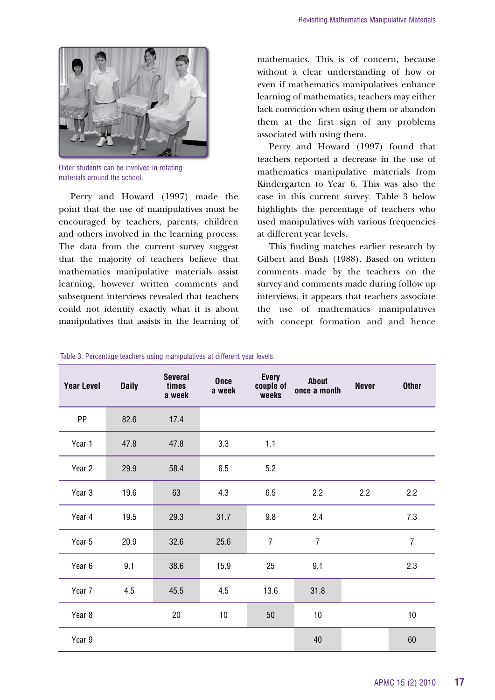

Older students can be involved in rotating materials around the school.

Perry and Howard (1997) made the point that the use of manipulatives must be encouraged by teachers, parents, children and others involved in the learning process. The data from the current survey suggest that the majority of teachers believe that mathematics manipulative materials assist learning, however written comments and subsequent interviews revealed that teachers could not identify exactly what it is about manipulatives that assists in the learning of mathematics. This is of concern, because without a clear understanding of how or even if mathematics manipulatives enhance learning of mathematics, teachers may either lack conviction when using them or abandon them at the first sign of any problems associated with using them.

Perry and Howard (1997) found that teachers reported a decrease in the use of mathematics manipulative materials from Kindergarten to Year 6. This was also the case in this current survey. Table 3 below highlights the percentage of teachers who used manipulatives with various frequencies at different year levels.

This finding matches earlier research by Gilbert and Bush (1988). Based on written comments made by the teachers on the survey and comments made during follow up interviews, it appears that teachers associate the use of mathematics manipulatives with concept formation and and hence

| <b>Year Level</b> | <b>Daily</b> | <b>Several</b><br>times<br>a week | <b>Once</b><br>a week | <b>Every</b><br>couple of<br>weeks | About<br>once a month | <b>Never</b> | <b>Other</b>   |
|-------------------|--------------|-----------------------------------|-----------------------|------------------------------------|-----------------------|--------------|----------------|
| PP                | 82.6         | 17.4                              |                       |                                    |                       |              |                |
| Year 1            | 47.8         | 47.8                              | 3.3                   | 1.1                                |                       |              |                |
| Year 2            | 29.9         | 58.4                              | 6.5                   | 5.2                                |                       |              |                |
| Year 3            | 19.6         | 63                                | 4.3                   | 6.5                                | 2.2                   | 2.2          | 2.2            |
| Year 4            | 19.5         | 29.3                              | 31.7                  | 9.8                                | 2.4                   |              | 7.3            |
| Year 5            | 20.9         | 32.6                              | 25.6                  | $\overline{7}$                     | $\overline{7}$        |              | $\overline{7}$ |
| Year 6            | 9.1          | 38.6                              | 15.9                  | 25                                 | 9.1                   |              | 2.3            |
| Year 7            | 4.5          | 45.5                              | 4.5                   | 13.6                               | 31.8                  |              |                |
| Year 8            |              | 20                                | 10                    | 50                                 | 10                    |              | 10             |
| Year 9            |              |                                   |                       |                                    | 40                    |              | 60             |

Table 3. Percentage teachers using manipulatives at different year levels.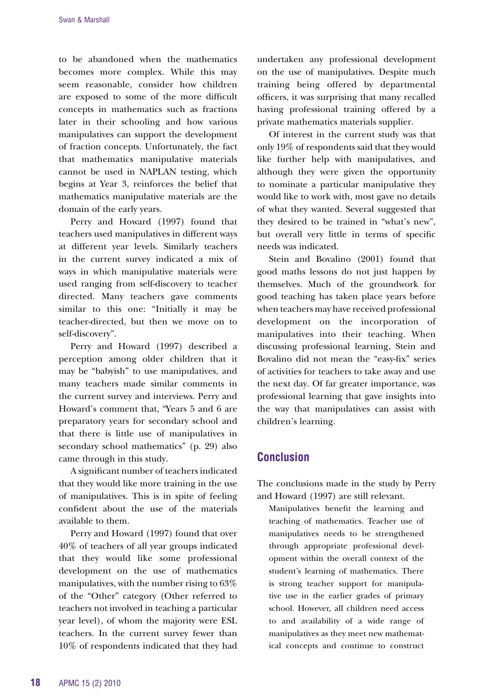to be abandoned when the mathematics becomes more complex. While this may seem reasonable, consider how children are exposed to some of the more difficult concepts in mathematics such as fractions later in their schooling and how various manipulatives can support the development of fraction concepts. Unfortunately, the fact that mathematics manipulative materials cannot be used in NAPLAN testing, which begins at Year 3, reinforces the belief that mathematics manipulative materials are the domain of the early years.

Perry and Howard (1997) found that teachers used manipulatives in different ways at different year levels. Similarly teachers in the current survey indicated a mix of ways in which manipulative materials were used ranging from self-discovery to teacher directed. Many teachers gave comments similar to this one: "Initially it may be teacher-directed, but then we move on to self-discovery".

Perry and Howard (1997) described a perception among older children that it may be "babyish" to use manipulatives, and many teachers made similar comments in the current survey and interviews. Perry and Howard's comment that, "Years 5 and 6 are preparatory years for secondary school and that there is little use of manipulatives in secondary school mathematics" (p. 29) also came through in this study.

A significant number of teachers indicated that they would like more training in the use of manipulatives. This is in spite of feeling confident about the use of the materials available to them.

Perry and Howard (1997) found that over 40% of teachers of all year groups indicated that they would like some professional development on the use of mathematics manipulatives, with the number rising to 63% of the "Other" category (Other referred to teachers not involved in teaching a particular year level), of whom the majority were ESL teachers. In the current survey fewer than 10% of respondents indicated that they had

undertaken any professional development on the use of manipulatives. Despite much training being offered by departmental officers, it was surprising that many recalled having professional training offered by a private mathematics materials supplier.

Of interest in the current study was that only 19% of respondents said that they would like further help with manipulatives, and although they were given the opportunity to nominate a particular manipulative they would like to work with, most gave no details of what they wanted. Several suggested that they desired to be trained in "what's new", but overall very little in terms of specific needs was indicated.

Stein and Bovalino (2001) found that good maths lessons do not just happen by themselves. Much of the groundwork for good teaching has taken place years before when teachers may have received professional development on the incorporation of manipulatives into their teaching. When discussing professional learning, Stein and Bovalino did not mean the "easy-fix" series of activities for teachers to take away and use the next day. Of far greater importance, was professional learning that gave insights into the way that manipulatives can assist with children's learning.

# **Conclusion**

The conclusions made in the study by Perry and Howard (1997) are still relevant.

Manipulatives benefit the learning and teaching of mathematics. Teacher use of manipulatives needs to be strengthened through appropriate professional development within the overall context of the student's learning of mathematics. There is strong teacher support for manipulative use in the earlier grades of primary school. However, all children need access to and availability of a wide range of manipulatives as they meet new mathematical concepts and continue to construct